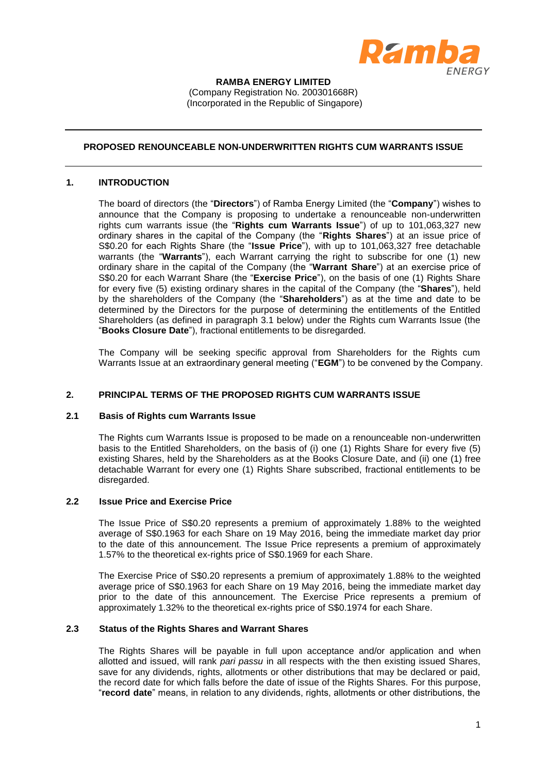

#### **RAMBA ENERGY LIMITED** (Company Registration No. 200301668R) (Incorporated in the Republic of Singapore)

### **PROPOSED RENOUNCEABLE NON-UNDERWRITTEN RIGHTS CUM WARRANTS ISSUE**

#### **1. INTRODUCTION**

The board of directors (the "**Directors**") of Ramba Energy Limited (the "**Company**") wishes to announce that the Company is proposing to undertake a renounceable non-underwritten rights cum warrants issue (the "**Rights cum Warrants Issue**") of up to 101,063,327 new ordinary shares in the capital of the Company (the "**Rights Shares**") at an issue price of S\$0.20 for each Rights Share (the "**Issue Price**"), with up to 101,063,327 free detachable warrants (the "**Warrants**"), each Warrant carrying the right to subscribe for one (1) new ordinary share in the capital of the Company (the "**Warrant Share**") at an exercise price of S\$0.20 for each Warrant Share (the "**Exercise Price**"), on the basis of one (1) Rights Share for every five (5) existing ordinary shares in the capital of the Company (the "**Shares**"), held by the shareholders of the Company (the "**Shareholders**") as at the time and date to be determined by the Directors for the purpose of determining the entitlements of the Entitled Shareholders (as defined in paragraph [3.1](#page-2-0) below) under the Rights cum Warrants Issue (the "**Books Closure Date**"), fractional entitlements to be disregarded.

The Company will be seeking specific approval from Shareholders for the Rights cum Warrants Issue at an extraordinary general meeting ("**EGM**") to be convened by the Company.

#### **2. PRINCIPAL TERMS OF THE PROPOSED RIGHTS CUM WARRANTS ISSUE**

### **2.1 Basis of Rights cum Warrants Issue**

The Rights cum Warrants Issue is proposed to be made on a renounceable non-underwritten basis to the Entitled Shareholders, on the basis of (i) one (1) Rights Share for every five (5) existing Shares, held by the Shareholders as at the Books Closure Date, and (ii) one (1) free detachable Warrant for every one (1) Rights Share subscribed, fractional entitlements to be disregarded.

#### **2.2 Issue Price and Exercise Price**

The Issue Price of S\$0.20 represents a premium of approximately 1.88% to the weighted average of S\$0.1963 for each Share on 19 May 2016, being the immediate market day prior to the date of this announcement. The Issue Price represents a premium of approximately 1.57% to the theoretical ex-rights price of S\$0.1969 for each Share.

The Exercise Price of S\$0.20 represents a premium of approximately 1.88% to the weighted average price of S\$0.1963 for each Share on 19 May 2016, being the immediate market day prior to the date of this announcement. The Exercise Price represents a premium of approximately 1.32% to the theoretical ex-rights price of S\$0.1974 for each Share.

## **2.3 Status of the Rights Shares and Warrant Shares**

The Rights Shares will be payable in full upon acceptance and/or application and when allotted and issued, will rank *pari passu* in all respects with the then existing issued Shares, save for any dividends, rights, allotments or other distributions that may be declared or paid, the record date for which falls before the date of issue of the Rights Shares. For this purpose, "**record date**" means, in relation to any dividends, rights, allotments or other distributions, the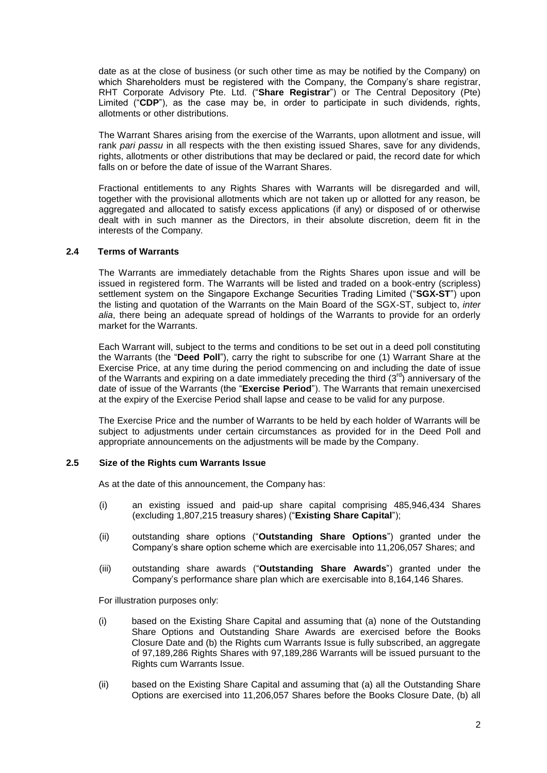date as at the close of business (or such other time as may be notified by the Company) on which Shareholders must be registered with the Company, the Company's share registrar, RHT Corporate Advisory Pte. Ltd. ("**Share Registrar**") or The Central Depository (Pte) Limited ("**CDP**"), as the case may be, in order to participate in such dividends, rights, allotments or other distributions.

The Warrant Shares arising from the exercise of the Warrants, upon allotment and issue, will rank *pari passu* in all respects with the then existing issued Shares, save for any dividends, rights, allotments or other distributions that may be declared or paid, the record date for which falls on or before the date of issue of the Warrant Shares.

Fractional entitlements to any Rights Shares with Warrants will be disregarded and will, together with the provisional allotments which are not taken up or allotted for any reason, be aggregated and allocated to satisfy excess applications (if any) or disposed of or otherwise dealt with in such manner as the Directors, in their absolute discretion, deem fit in the interests of the Company.

#### **2.4 Terms of Warrants**

The Warrants are immediately detachable from the Rights Shares upon issue and will be issued in registered form. The Warrants will be listed and traded on a book-entry (scripless) settlement system on the Singapore Exchange Securities Trading Limited ("**SGX-ST**") upon the listing and quotation of the Warrants on the Main Board of the SGX-ST, subject to, *inter alia*, there being an adequate spread of holdings of the Warrants to provide for an orderly market for the Warrants.

Each Warrant will, subject to the terms and conditions to be set out in a deed poll constituting the Warrants (the "**Deed Poll**"), carry the right to subscribe for one (1) Warrant Share at the Exercise Price, at any time during the period commencing on and including the date of issue of the Warrants and expiring on a date immediately preceding the third  $(3^{rd})$  anniversary of the date of issue of the Warrants (the "**Exercise Period**"). The Warrants that remain unexercised at the expiry of the Exercise Period shall lapse and cease to be valid for any purpose.

The Exercise Price and the number of Warrants to be held by each holder of Warrants will be subject to adjustments under certain circumstances as provided for in the Deed Poll and appropriate announcements on the adjustments will be made by the Company.

## **2.5 Size of the Rights cum Warrants Issue**

As at the date of this announcement, the Company has:

- (i) an existing issued and paid-up share capital comprising 485,946,434 Shares (excluding 1,807,215 treasury shares) ("**Existing Share Capital**");
- (ii) outstanding share options ("**Outstanding Share Options**") granted under the Company's share option scheme which are exercisable into 11,206,057 Shares; and
- (iii) outstanding share awards ("**Outstanding Share Awards**") granted under the Company's performance share plan which are exercisable into 8,164,146 Shares.

For illustration purposes only:

- (i) based on the Existing Share Capital and assuming that (a) none of the Outstanding Share Options and Outstanding Share Awards are exercised before the Books Closure Date and (b) the Rights cum Warrants Issue is fully subscribed, an aggregate of 97,189,286 Rights Shares with 97,189,286 Warrants will be issued pursuant to the Rights cum Warrants Issue.
- (ii) based on the Existing Share Capital and assuming that (a) all the Outstanding Share Options are exercised into 11,206,057 Shares before the Books Closure Date, (b) all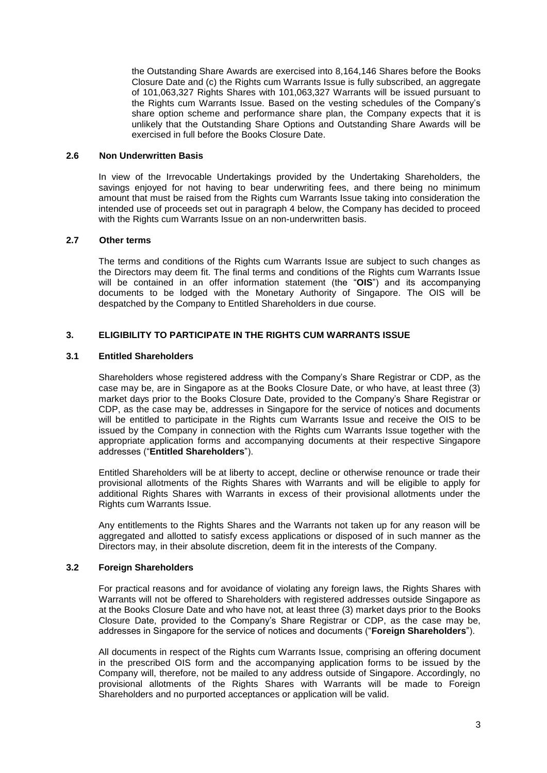the Outstanding Share Awards are exercised into 8,164,146 Shares before the Books Closure Date and (c) the Rights cum Warrants Issue is fully subscribed, an aggregate of 101,063,327 Rights Shares with 101,063,327 Warrants will be issued pursuant to the Rights cum Warrants Issue. Based on the vesting schedules of the Company's share option scheme and performance share plan, the Company expects that it is unlikely that the Outstanding Share Options and Outstanding Share Awards will be exercised in full before the Books Closure Date.

#### **2.6 Non Underwritten Basis**

In view of the Irrevocable Undertakings provided by the Undertaking Shareholders, the savings enjoyed for not having to bear underwriting fees, and there being no minimum amount that must be raised from the Rights cum Warrants Issue taking into consideration the intended use of proceeds set out in paragraph 4 below, the Company has decided to proceed with the Rights cum Warrants Issue on an non-underwritten basis.

## **2.7 Other terms**

The terms and conditions of the Rights cum Warrants Issue are subject to such changes as the Directors may deem fit. The final terms and conditions of the Rights cum Warrants Issue will be contained in an offer information statement (the "**OIS**") and its accompanying documents to be lodged with the Monetary Authority of Singapore. The OIS will be despatched by the Company to Entitled Shareholders in due course.

## **3. ELIGIBILITY TO PARTICIPATE IN THE RIGHTS CUM WARRANTS ISSUE**

### <span id="page-2-0"></span>**3.1 Entitled Shareholders**

Shareholders whose registered address with the Company's Share Registrar or CDP, as the case may be, are in Singapore as at the Books Closure Date, or who have, at least three (3) market days prior to the Books Closure Date, provided to the Company's Share Registrar or CDP, as the case may be, addresses in Singapore for the service of notices and documents will be entitled to participate in the Rights cum Warrants Issue and receive the OIS to be issued by the Company in connection with the Rights cum Warrants Issue together with the appropriate application forms and accompanying documents at their respective Singapore addresses ("**Entitled Shareholders**").

Entitled Shareholders will be at liberty to accept, decline or otherwise renounce or trade their provisional allotments of the Rights Shares with Warrants and will be eligible to apply for additional Rights Shares with Warrants in excess of their provisional allotments under the Rights cum Warrants Issue.

Any entitlements to the Rights Shares and the Warrants not taken up for any reason will be aggregated and allotted to satisfy excess applications or disposed of in such manner as the Directors may, in their absolute discretion, deem fit in the interests of the Company.

### **3.2 Foreign Shareholders**

For practical reasons and for avoidance of violating any foreign laws, the Rights Shares with Warrants will not be offered to Shareholders with registered addresses outside Singapore as at the Books Closure Date and who have not, at least three (3) market days prior to the Books Closure Date, provided to the Company's Share Registrar or CDP, as the case may be, addresses in Singapore for the service of notices and documents ("**Foreign Shareholders**").

All documents in respect of the Rights cum Warrants Issue, comprising an offering document in the prescribed OIS form and the accompanying application forms to be issued by the Company will, therefore, not be mailed to any address outside of Singapore. Accordingly, no provisional allotments of the Rights Shares with Warrants will be made to Foreign Shareholders and no purported acceptances or application will be valid.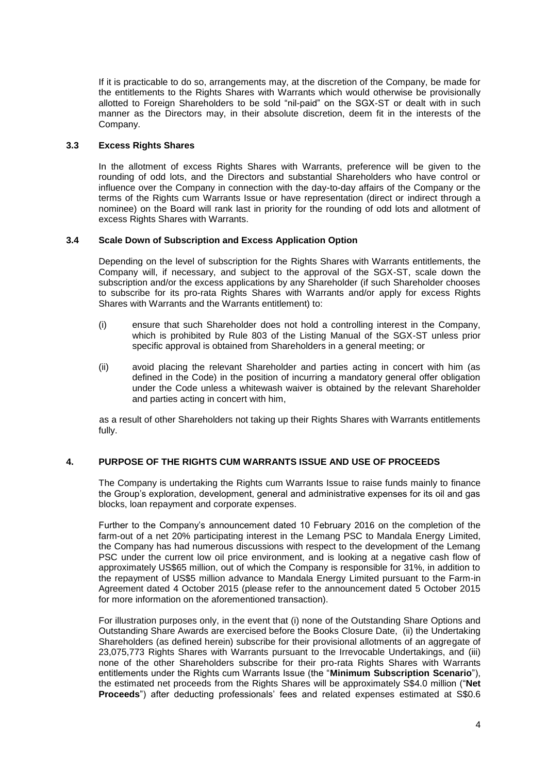If it is practicable to do so, arrangements may, at the discretion of the Company, be made for the entitlements to the Rights Shares with Warrants which would otherwise be provisionally allotted to Foreign Shareholders to be sold "nil-paid" on the SGX-ST or dealt with in such manner as the Directors may, in their absolute discretion, deem fit in the interests of the Company.

## **3.3 Excess Rights Shares**

In the allotment of excess Rights Shares with Warrants, preference will be given to the rounding of odd lots, and the Directors and substantial Shareholders who have control or influence over the Company in connection with the day-to-day affairs of the Company or the terms of the Rights cum Warrants Issue or have representation (direct or indirect through a nominee) on the Board will rank last in priority for the rounding of odd lots and allotment of excess Rights Shares with Warrants.

### **3.4 Scale Down of Subscription and Excess Application Option**

Depending on the level of subscription for the Rights Shares with Warrants entitlements, the Company will, if necessary, and subject to the approval of the SGX-ST, scale down the subscription and/or the excess applications by any Shareholder (if such Shareholder chooses to subscribe for its pro-rata Rights Shares with Warrants and/or apply for excess Rights Shares with Warrants and the Warrants entitlement) to:

- (i) ensure that such Shareholder does not hold a controlling interest in the Company, which is prohibited by Rule 803 of the Listing Manual of the SGX-ST unless prior specific approval is obtained from Shareholders in a general meeting; or
- (ii) avoid placing the relevant Shareholder and parties acting in concert with him (as defined in the Code) in the position of incurring a mandatory general offer obligation under the Code unless a whitewash waiver is obtained by the relevant Shareholder and parties acting in concert with him,

as a result of other Shareholders not taking up their Rights Shares with Warrants entitlements fully.

#### **4. PURPOSE OF THE RIGHTS CUM WARRANTS ISSUE AND USE OF PROCEEDS**

The Company is undertaking the Rights cum Warrants Issue to raise funds mainly to finance the Group's exploration, development, general and administrative expenses for its oil and gas blocks, loan repayment and corporate expenses.

Further to the Company's announcement dated 10 February 2016 on the completion of the farm-out of a net 20% participating interest in the Lemang PSC to Mandala Energy Limited, the Company has had numerous discussions with respect to the development of the Lemang PSC under the current low oil price environment, and is looking at a negative cash flow of approximately US\$65 million, out of which the Company is responsible for 31%, in addition to the repayment of US\$5 million advance to Mandala Energy Limited pursuant to the Farm-in Agreement dated 4 October 2015 (please refer to the announcement dated 5 October 2015 for more information on the aforementioned transaction).

For illustration purposes only, in the event that (i) none of the Outstanding Share Options and Outstanding Share Awards are exercised before the Books Closure Date, (ii) the Undertaking Shareholders (as defined herein) subscribe for their provisional allotments of an aggregate of 23,075,773 Rights Shares with Warrants pursuant to the Irrevocable Undertakings, and (iii) none of the other Shareholders subscribe for their pro-rata Rights Shares with Warrants entitlements under the Rights cum Warrants Issue (the "**Minimum Subscription Scenario**"), the estimated net proceeds from the Rights Shares will be approximately S\$4.0 million ("**Net Proceeds**") after deducting professionals' fees and related expenses estimated at S\$0.6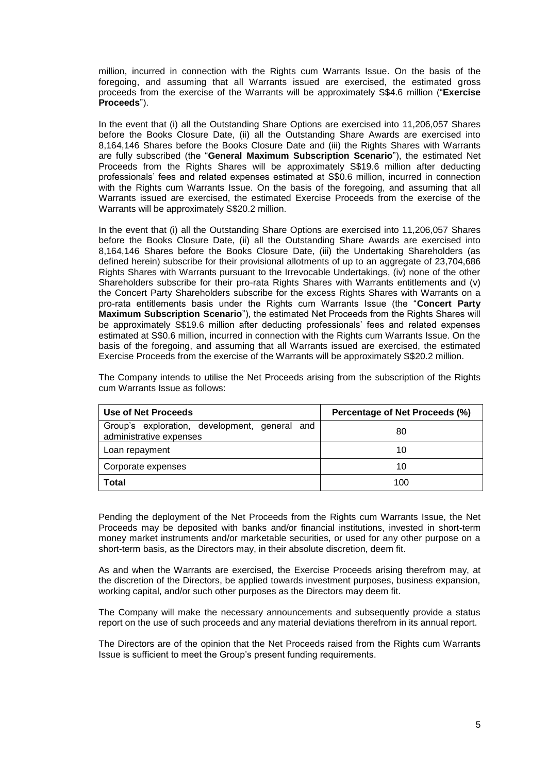million, incurred in connection with the Rights cum Warrants Issue. On the basis of the foregoing, and assuming that all Warrants issued are exercised, the estimated gross proceeds from the exercise of the Warrants will be approximately S\$4.6 million ("**Exercise Proceeds**").

In the event that (i) all the Outstanding Share Options are exercised into 11,206,057 Shares before the Books Closure Date, (ii) all the Outstanding Share Awards are exercised into 8,164,146 Shares before the Books Closure Date and (iii) the Rights Shares with Warrants are fully subscribed (the "**General Maximum Subscription Scenario**"), the estimated Net Proceeds from the Rights Shares will be approximately S\$19.6 million after deducting professionals' fees and related expenses estimated at S\$0.6 million, incurred in connection with the Rights cum Warrants Issue. On the basis of the foregoing, and assuming that all Warrants issued are exercised, the estimated Exercise Proceeds from the exercise of the Warrants will be approximately S\$20.2 million.

In the event that (i) all the Outstanding Share Options are exercised into 11,206,057 Shares before the Books Closure Date, (ii) all the Outstanding Share Awards are exercised into 8,164,146 Shares before the Books Closure Date, (iii) the Undertaking Shareholders (as defined herein) subscribe for their provisional allotments of up to an aggregate of 23,704,686 Rights Shares with Warrants pursuant to the Irrevocable Undertakings, (iv) none of the other Shareholders subscribe for their pro-rata Rights Shares with Warrants entitlements and (v) the Concert Party Shareholders subscribe for the excess Rights Shares with Warrants on a pro-rata entitlements basis under the Rights cum Warrants Issue (the "**Concert Party Maximum Subscription Scenario**"), the estimated Net Proceeds from the Rights Shares will be approximately S\$19.6 million after deducting professionals' fees and related expenses estimated at S\$0.6 million, incurred in connection with the Rights cum Warrants Issue. On the basis of the foregoing, and assuming that all Warrants issued are exercised, the estimated Exercise Proceeds from the exercise of the Warrants will be approximately S\$20.2 million.

| Use of Net Proceeds                                                      | Percentage of Net Proceeds (%) |
|--------------------------------------------------------------------------|--------------------------------|
| Group's exploration, development, general and<br>administrative expenses | 80                             |
| Loan repayment                                                           | 10                             |
| Corporate expenses                                                       | 10                             |
| Total                                                                    | 100                            |

The Company intends to utilise the Net Proceeds arising from the subscription of the Rights cum Warrants Issue as follows:

Pending the deployment of the Net Proceeds from the Rights cum Warrants Issue, the Net Proceeds may be deposited with banks and/or financial institutions, invested in short-term money market instruments and/or marketable securities, or used for any other purpose on a short-term basis, as the Directors may, in their absolute discretion, deem fit.

As and when the Warrants are exercised, the Exercise Proceeds arising therefrom may, at the discretion of the Directors, be applied towards investment purposes, business expansion, working capital, and/or such other purposes as the Directors may deem fit.

The Company will make the necessary announcements and subsequently provide a status report on the use of such proceeds and any material deviations therefrom in its annual report.

The Directors are of the opinion that the Net Proceeds raised from the Rights cum Warrants Issue is sufficient to meet the Group's present funding requirements.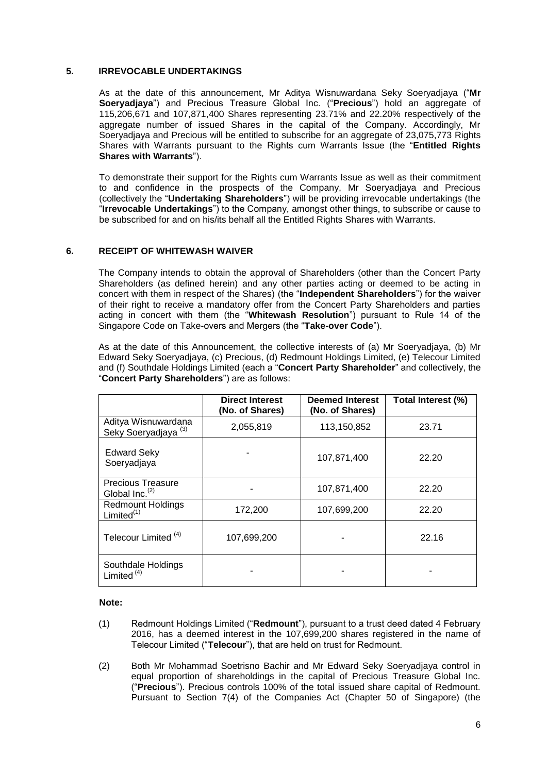### **5. IRREVOCABLE UNDERTAKINGS**

As at the date of this announcement, Mr Aditya Wisnuwardana Seky Soeryadjaya ("**Mr Soeryadjaya**") and Precious Treasure Global Inc. ("**Precious**") hold an aggregate of 115,206,671 and 107,871,400 Shares representing 23.71% and 22.20% respectively of the aggregate number of issued Shares in the capital of the Company. Accordingly, Mr Soeryadjaya and Precious will be entitled to subscribe for an aggregate of 23,075,773 Rights Shares with Warrants pursuant to the Rights cum Warrants Issue (the "**Entitled Rights Shares with Warrants**").

To demonstrate their support for the Rights cum Warrants Issue as well as their commitment to and confidence in the prospects of the Company, Mr Soeryadjaya and Precious (collectively the "**Undertaking Shareholders**") will be providing irrevocable undertakings (the "**Irrevocable Undertakings**") to the Company, amongst other things, to subscribe or cause to be subscribed for and on his/its behalf all the Entitled Rights Shares with Warrants.

#### **6. RECEIPT OF WHITEWASH WAIVER**

The Company intends to obtain the approval of Shareholders (other than the Concert Party Shareholders (as defined herein) and any other parties acting or deemed to be acting in concert with them in respect of the Shares) (the "**Independent Shareholders**") for the waiver of their right to receive a mandatory offer from the Concert Party Shareholders and parties acting in concert with them (the "**Whitewash Resolution**") pursuant to Rule 14 of the Singapore Code on Take-overs and Mergers (the "**Take-over Code**").

As at the date of this Announcement, the collective interests of (a) Mr Soeryadjaya, (b) Mr Edward Seky Soeryadjaya, (c) Precious, (d) Redmount Holdings Limited, (e) Telecour Limited and (f) Southdale Holdings Limited (each a "**Concert Party Shareholder**" and collectively, the "**Concert Party Shareholders**") are as follows:

|                                                        | <b>Direct Interest</b><br>(No. of Shares) | <b>Deemed Interest</b><br>(No. of Shares) | Total Interest (%) |
|--------------------------------------------------------|-------------------------------------------|-------------------------------------------|--------------------|
| Aditya Wisnuwardana<br>Seky Soeryadjaya <sup>(3)</sup> | 2,055,819                                 | 113,150,852                               | 23.71              |
| <b>Edward Seky</b><br>Soeryadjaya                      |                                           | 107,871,400                               | 22.20              |
| <b>Precious Treasure</b><br>Global Inc. $(2)$          |                                           | 107,871,400                               | 22.20              |
| <b>Redmount Holdings</b><br>Limited $(1)$              | 172,200                                   | 107,699,200                               | 22.20              |
| Telecour Limited <sup>(4)</sup>                        | 107,699,200                               |                                           | 22.16              |
| Southdale Holdings<br>Limited $(4)$                    |                                           |                                           |                    |

#### **Note:**

- (1) Redmount Holdings Limited ("**Redmount**"), pursuant to a trust deed dated 4 February 2016, has a deemed interest in the 107,699,200 shares registered in the name of Telecour Limited ("**Telecour**"), that are held on trust for Redmount.
- (2) Both Mr Mohammad Soetrisno Bachir and Mr Edward Seky Soeryadjaya control in equal proportion of shareholdings in the capital of Precious Treasure Global Inc. ("**Precious**"). Precious controls 100% of the total issued share capital of Redmount. Pursuant to Section 7(4) of the Companies Act (Chapter 50 of Singapore) (the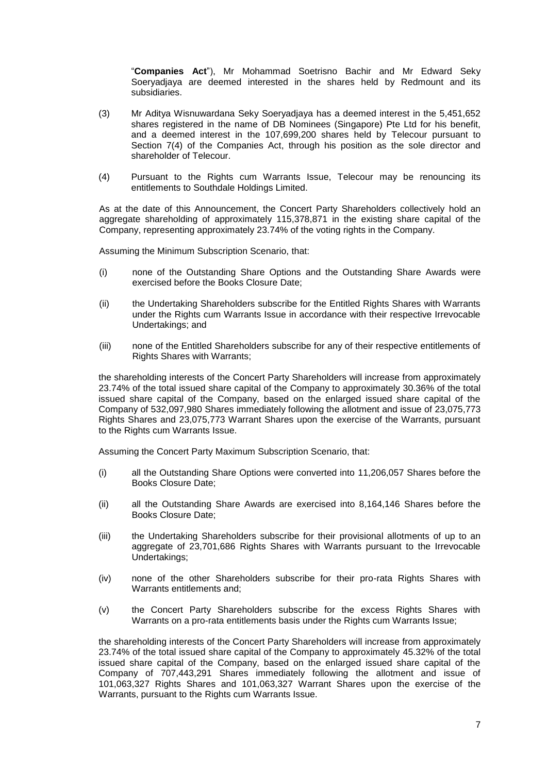"**Companies Act**"), Mr Mohammad Soetrisno Bachir and Mr Edward Seky Soeryadjaya are deemed interested in the shares held by Redmount and its subsidiaries.

- (3) Mr Aditya Wisnuwardana Seky Soeryadjaya has a deemed interest in the 5,451,652 shares registered in the name of DB Nominees (Singapore) Pte Ltd for his benefit, and a deemed interest in the 107,699,200 shares held by Telecour pursuant to Section 7(4) of the Companies Act, through his position as the sole director and shareholder of Telecour.
- (4) Pursuant to the Rights cum Warrants Issue, Telecour may be renouncing its entitlements to Southdale Holdings Limited.

As at the date of this Announcement, the Concert Party Shareholders collectively hold an aggregate shareholding of approximately 115,378,871 in the existing share capital of the Company, representing approximately 23.74% of the voting rights in the Company.

Assuming the Minimum Subscription Scenario, that:

- (i) none of the Outstanding Share Options and the Outstanding Share Awards were exercised before the Books Closure Date;
- (ii) the Undertaking Shareholders subscribe for the Entitled Rights Shares with Warrants under the Rights cum Warrants Issue in accordance with their respective Irrevocable Undertakings; and
- (iii) none of the Entitled Shareholders subscribe for any of their respective entitlements of Rights Shares with Warrants;

the shareholding interests of the Concert Party Shareholders will increase from approximately 23.74% of the total issued share capital of the Company to approximately 30.36% of the total issued share capital of the Company, based on the enlarged issued share capital of the Company of 532,097,980 Shares immediately following the allotment and issue of 23,075,773 Rights Shares and 23,075,773 Warrant Shares upon the exercise of the Warrants, pursuant to the Rights cum Warrants Issue.

Assuming the Concert Party Maximum Subscription Scenario, that:

- (i) all the Outstanding Share Options were converted into 11,206,057 Shares before the Books Closure Date;
- (ii) all the Outstanding Share Awards are exercised into 8,164,146 Shares before the Books Closure Date;
- (iii) the Undertaking Shareholders subscribe for their provisional allotments of up to an aggregate of 23,701,686 Rights Shares with Warrants pursuant to the Irrevocable Undertakings;
- (iv) none of the other Shareholders subscribe for their pro-rata Rights Shares with Warrants entitlements and;
- (v) the Concert Party Shareholders subscribe for the excess Rights Shares with Warrants on a pro-rata entitlements basis under the Rights cum Warrants Issue;

the shareholding interests of the Concert Party Shareholders will increase from approximately 23.74% of the total issued share capital of the Company to approximately 45.32% of the total issued share capital of the Company, based on the enlarged issued share capital of the Company of 707,443,291 Shares immediately following the allotment and issue of 101,063,327 Rights Shares and 101,063,327 Warrant Shares upon the exercise of the Warrants, pursuant to the Rights cum Warrants Issue.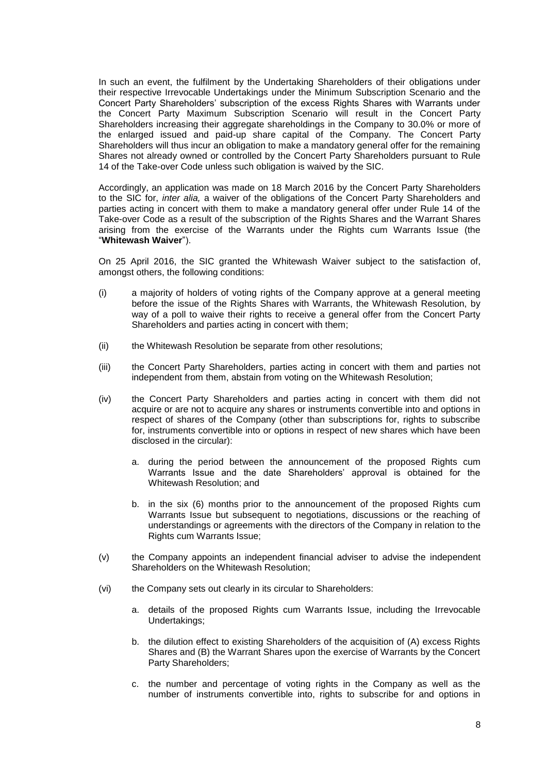In such an event, the fulfilment by the Undertaking Shareholders of their obligations under their respective Irrevocable Undertakings under the Minimum Subscription Scenario and the Concert Party Shareholders' subscription of the excess Rights Shares with Warrants under the Concert Party Maximum Subscription Scenario will result in the Concert Party Shareholders increasing their aggregate shareholdings in the Company to 30.0% or more of the enlarged issued and paid-up share capital of the Company. The Concert Party Shareholders will thus incur an obligation to make a mandatory general offer for the remaining Shares not already owned or controlled by the Concert Party Shareholders pursuant to Rule 14 of the Take-over Code unless such obligation is waived by the SIC.

Accordingly, an application was made on 18 March 2016 by the Concert Party Shareholders to the SIC for, *inter alia,* a waiver of the obligations of the Concert Party Shareholders and parties acting in concert with them to make a mandatory general offer under Rule 14 of the Take-over Code as a result of the subscription of the Rights Shares and the Warrant Shares arising from the exercise of the Warrants under the Rights cum Warrants Issue (the "**Whitewash Waiver**").

On 25 April 2016, the SIC granted the Whitewash Waiver subject to the satisfaction of, amongst others, the following conditions:

- (i) a majority of holders of voting rights of the Company approve at a general meeting before the issue of the Rights Shares with Warrants, the Whitewash Resolution, by way of a poll to waive their rights to receive a general offer from the Concert Party Shareholders and parties acting in concert with them;
- (ii) the Whitewash Resolution be separate from other resolutions;
- (iii) the Concert Party Shareholders, parties acting in concert with them and parties not independent from them, abstain from voting on the Whitewash Resolution;
- (iv) the Concert Party Shareholders and parties acting in concert with them did not acquire or are not to acquire any shares or instruments convertible into and options in respect of shares of the Company (other than subscriptions for, rights to subscribe for, instruments convertible into or options in respect of new shares which have been disclosed in the circular):
	- a. during the period between the announcement of the proposed Rights cum Warrants Issue and the date Shareholders' approval is obtained for the Whitewash Resolution; and
	- b. in the six (6) months prior to the announcement of the proposed Rights cum Warrants Issue but subsequent to negotiations, discussions or the reaching of understandings or agreements with the directors of the Company in relation to the Rights cum Warrants Issue;
- (v) the Company appoints an independent financial adviser to advise the independent Shareholders on the Whitewash Resolution;
- (vi) the Company sets out clearly in its circular to Shareholders:
	- a. details of the proposed Rights cum Warrants Issue, including the Irrevocable Undertakings;
	- b. the dilution effect to existing Shareholders of the acquisition of (A) excess Rights Shares and (B) the Warrant Shares upon the exercise of Warrants by the Concert Party Shareholders;
	- c. the number and percentage of voting rights in the Company as well as the number of instruments convertible into, rights to subscribe for and options in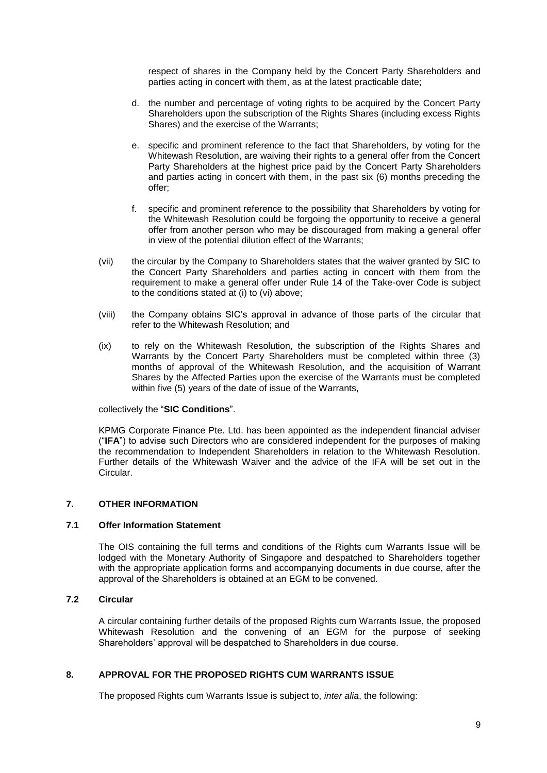respect of shares in the Company held by the Concert Party Shareholders and parties acting in concert with them, as at the latest practicable date;

- d. the number and percentage of voting rights to be acquired by the Concert Party Shareholders upon the subscription of the Rights Shares (including excess Rights Shares) and the exercise of the Warrants;
- e. specific and prominent reference to the fact that Shareholders, by voting for the Whitewash Resolution, are waiving their rights to a general offer from the Concert Party Shareholders at the highest price paid by the Concert Party Shareholders and parties acting in concert with them, in the past six (6) months preceding the offer;
- f. specific and prominent reference to the possibility that Shareholders by voting for the Whitewash Resolution could be forgoing the opportunity to receive a general offer from another person who may be discouraged from making a general offer in view of the potential dilution effect of the Warrants;
- (vii) the circular by the Company to Shareholders states that the waiver granted by SIC to the Concert Party Shareholders and parties acting in concert with them from the requirement to make a general offer under Rule 14 of the Take-over Code is subject to the conditions stated at (i) to (vi) above;
- (viii) the Company obtains SIC's approval in advance of those parts of the circular that refer to the Whitewash Resolution; and
- (ix) to rely on the Whitewash Resolution, the subscription of the Rights Shares and Warrants by the Concert Party Shareholders must be completed within three (3) months of approval of the Whitewash Resolution, and the acquisition of Warrant Shares by the Affected Parties upon the exercise of the Warrants must be completed within five (5) years of the date of issue of the Warrants,

## collectively the "**SIC Conditions**".

KPMG Corporate Finance Pte. Ltd. has been appointed as the independent financial adviser ("**IFA**") to advise such Directors who are considered independent for the purposes of making the recommendation to Independent Shareholders in relation to the Whitewash Resolution. Further details of the Whitewash Waiver and the advice of the IFA will be set out in the Circular.

## **7. OTHER INFORMATION**

#### **7.1 Offer Information Statement**

The OIS containing the full terms and conditions of the Rights cum Warrants Issue will be lodged with the Monetary Authority of Singapore and despatched to Shareholders together with the appropriate application forms and accompanying documents in due course, after the approval of the Shareholders is obtained at an EGM to be convened.

## **7.2 Circular**

A circular containing further details of the proposed Rights cum Warrants Issue, the proposed Whitewash Resolution and the convening of an EGM for the purpose of seeking Shareholders' approval will be despatched to Shareholders in due course.

## **8. APPROVAL FOR THE PROPOSED RIGHTS CUM WARRANTS ISSUE**

The proposed Rights cum Warrants Issue is subject to, *inter alia*, the following: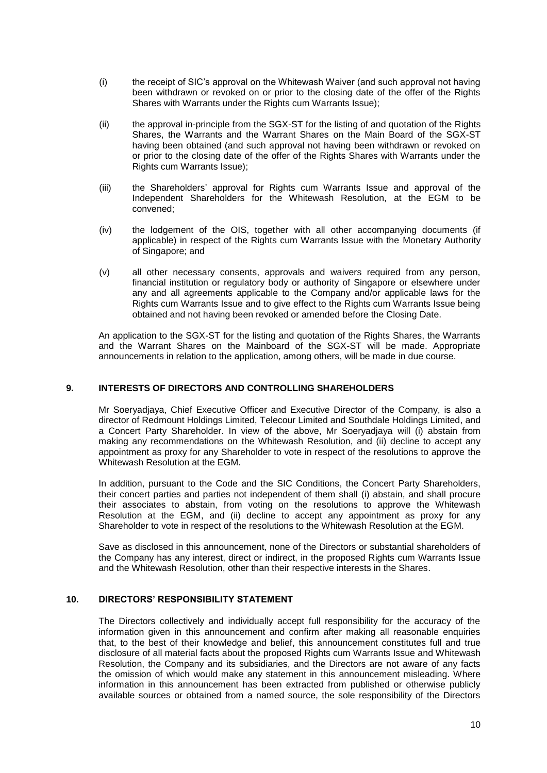- (i) the receipt of SIC's approval on the Whitewash Waiver (and such approval not having been withdrawn or revoked on or prior to the closing date of the offer of the Rights Shares with Warrants under the Rights cum Warrants Issue);
- (ii) the approval in-principle from the SGX-ST for the listing of and quotation of the Rights Shares, the Warrants and the Warrant Shares on the Main Board of the SGX-ST having been obtained (and such approval not having been withdrawn or revoked on or prior to the closing date of the offer of the Rights Shares with Warrants under the Rights cum Warrants Issue);
- (iii) the Shareholders' approval for Rights cum Warrants Issue and approval of the Independent Shareholders for the Whitewash Resolution, at the EGM to be convened;
- (iv) the lodgement of the OIS, together with all other accompanying documents (if applicable) in respect of the Rights cum Warrants Issue with the Monetary Authority of Singapore; and
- (v) all other necessary consents, approvals and waivers required from any person, financial institution or regulatory body or authority of Singapore or elsewhere under any and all agreements applicable to the Company and/or applicable laws for the Rights cum Warrants Issue and to give effect to the Rights cum Warrants Issue being obtained and not having been revoked or amended before the Closing Date.

An application to the SGX-ST for the listing and quotation of the Rights Shares, the Warrants and the Warrant Shares on the Mainboard of the SGX-ST will be made. Appropriate announcements in relation to the application, among others, will be made in due course.

## **9. INTERESTS OF DIRECTORS AND CONTROLLING SHAREHOLDERS**

Mr Soeryadjaya, Chief Executive Officer and Executive Director of the Company, is also a director of Redmount Holdings Limited, Telecour Limited and Southdale Holdings Limited, and a Concert Party Shareholder. In view of the above, Mr Soeryadjaya will (i) abstain from making any recommendations on the Whitewash Resolution, and (ii) decline to accept any appointment as proxy for any Shareholder to vote in respect of the resolutions to approve the Whitewash Resolution at the EGM.

In addition, pursuant to the Code and the SIC Conditions, the Concert Party Shareholders, their concert parties and parties not independent of them shall (i) abstain, and shall procure their associates to abstain, from voting on the resolutions to approve the Whitewash Resolution at the EGM, and (ii) decline to accept any appointment as proxy for any Shareholder to vote in respect of the resolutions to the Whitewash Resolution at the EGM.

Save as disclosed in this announcement, none of the Directors or substantial shareholders of the Company has any interest, direct or indirect, in the proposed Rights cum Warrants Issue and the Whitewash Resolution, other than their respective interests in the Shares.

# **10. DIRECTORS' RESPONSIBILITY STATEMENT**

The Directors collectively and individually accept full responsibility for the accuracy of the information given in this announcement and confirm after making all reasonable enquiries that, to the best of their knowledge and belief, this announcement constitutes full and true disclosure of all material facts about the proposed Rights cum Warrants Issue and Whitewash Resolution, the Company and its subsidiaries, and the Directors are not aware of any facts the omission of which would make any statement in this announcement misleading. Where information in this announcement has been extracted from published or otherwise publicly available sources or obtained from a named source, the sole responsibility of the Directors